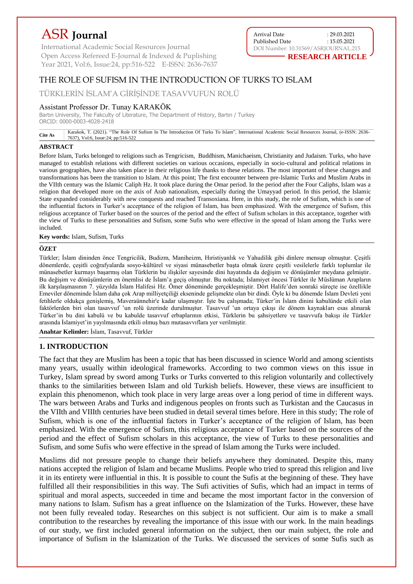# ASR **Journal**

International Academic Social Resources Journal Open Access Refereed E-Journal & Indexed & Puplishing Year 2021, Vol:6, Issue:24, pp:516-522 E-ISSN: 2636-7637 Arrival Date : 29.03.2021 Published Date : 15.05.2021 DOI Number: 10.31569/ASRJOURNAL.215 **RESEARCH ARTICLE**

THE ROLE OF SUFISM IN THE INTRODUCTION OF TURKS TO ISLAM

TÜRKLERİN İSLAM'A GİRİŞİNDE TASAVVUFUN ROLÜ

# Assistant Professor Dr. Tunay KARAKÖK

Bartın University, The Fakculty of Literature, The Department of History, Bartın / Turkey ORCID: 0000-0003-4028-2418

**Cite As** Karakok, T. (2021). "The Role Of Sufism In The Introduction Of Turks To Islam", International Academic Social Resources Journal, (e-ISSN: 2636- 7637), Vol:6, Issue:24; pp:516-522

# **ABSTRACT**

Before Islam, Turks belonged to religions such as Tengricism, Buddhism, Manichaeism, Christianity and Judaism. Turks, who have managed to establish relations with different societies on various occasions, especially in socio-cultural and political relations in various geographies, have also taken place in their religious life thanks to these relations. The most important of these changes and transformations has been the transition to Islam. At this point; The first encounter between pre-Islamic Turks and Muslim Arabs in the VIIth century was the Islamic Caliph Hz. It took place during the Omar period. In the period after the Four Caliphs, Islam was a religion that developed more on the axis of Arab nationalism, especially during the Umayyad period. In this period, the Islamic State expanded considerably with new conquests and reached Transoxiana. Here, in this study, the role of Sufism, which is one of the influential factors in Turker's acceptance of the religion of Islam, has been emphasized. With the emergence of Sufism, this religious acceptance of Turker based on the sources of the period and the effect of Sufism scholars in this acceptance, together with the view of Turks to these personalities and Sufism, some Sufis who were effective in the spread of Islam among the Turks were included.

**Key words:** Islam, Sufism, Turks

# **ÖZET**

Türkler; İslam dininden önce Tengricilik, Budizm, Maniheizm, Hıristiyanlık ve Yahudilik gibi dinlere mensup olmuştur. Çeşitli dönemlerde, çeşitli coğrafyalarda sosyo-kültürel ve siyasi münasebetler başta olmak üzere çeşitli vesilelerle farklı toplumlar ile münasebetler kurmayı başarmış olan Türklerin bu ilişkiler sayesinde dini hayatında da değişim ve dönüşümler meydana gelmiştir. Bu değişim ve dönüşümlerin en önemlisi de İslam'a geçiş olmuştur. Bu noktada; İslamiyet öncesi Türkler ile Müslüman Arapların ilk karşılaşmasının 7. yüzyılda İslam Halifesi Hz. Ömer döneminde gerçekleşmiştir. Dört Halife'den sonraki süreçte ise özellikle Emeviler döneminde İslam daha çok Arap milliyetçiliği ekseninde gelişmekte olan bir dindi. Öyle ki bu dönemde İslam Devleti yeni fetihlerle oldukça genişlemiş, Maveraünnehir'e kadar ulaşmıştır. İşte bu çalışmada; Türker'in İslam dinini kabulünde etkili olan faktörlerden biri olan tasavvuf 'un rolü üzerinde durulmuştur. Tasavvuf 'un ortaya çıkışı ile dönem kaynakları esas alınarak Türker'in bu dini kabulü ve bu kabulde tasavvuf erbaplarının etkisi, Türklerin bu şahsiyetlere ve tasavvufa bakışı ile Türkler arasında İslamiyet'in yayılmasında etkili olmuş bazı mutasavvıflara yer verilmiştir.

**Anahtar Kelimler:** İslam, Tasavvuf, Türkler

# **1. INTRODUCTION**

The fact that they are Muslim has been a topic that has been discussed in science World and among scientists many years, usually within ideological frameworks. According to two common views on this issue in Turkey, Islam spread by sword among Turks or Turks converted to this religion voluntarily and collectively thanks to the similarities between Islam and old Turkish beliefs. However, these views are insufficient to explain this phenomenon, which took place in very large areas over a long period of time in different ways. The wars between Arabs and Turks and indigenous peoples on fronts such as Turkistan and the Caucasus in the VIIth and VIIIth centuries have been studied in detail several times before. Here in this study; The role of Sufism, which is one of the influential factors in Turker's acceptance of the religion of Islam, has been emphasized. With the emergence of Sufism, this religious acceptance of Turker based on the sources of the period and the effect of Sufism scholars in this acceptance, the view of Turks to these personalities and Sufism, and some Sufis who were effective in the spread of Islam among the Turks were included.

Muslims did not pressure people to change their beliefs anywhere they dominated. Despite this, many nations accepted the religion of Islam and became Muslims. People who tried to spread this religion and live it in its entirety were influential in this. It is possible to count the Sufis at the beginning of these. They have fulfilled all their responsibilities in this way. The Sufi activities of Sufis, which had an impact in terms of spiritual and moral aspects, succeeded in time and became the most important factor in the conversion of many nations to Islam. Sufism has a great influence on the Islamization of the Turks. However, these have not been fully revealed today. Researches on this subject is not sufficient. Our aim is to make a small contribution to the researches by revealing the importance of this issue with our work. In the main headings of our study, we first included general information on the subject, then our main subject, the role and importance of Sufism in the Islamization of the Turks. We discussed the services of some Sufis such as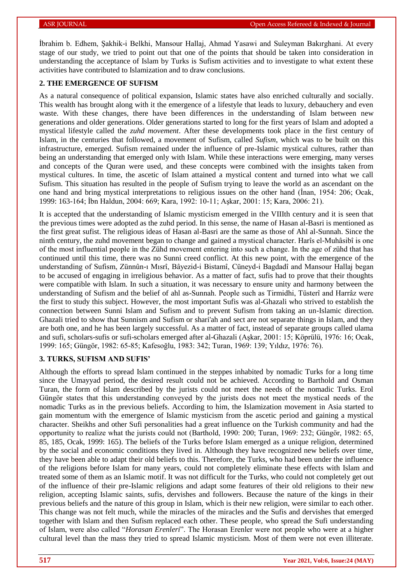İbrahim b. Edhem, Şakhik-i Belkhi, Mansour Hallaj, Ahmad Yasawi and Suleyman Bakırghani. At every stage of our study, we tried to point out that one of the points that should be taken into consideration in understanding the acceptance of Islam by Turks is Sufism activities and to investigate to what extent these activities have contributed to Islamization and to draw conclusions.

#### **2. THE EMERGENCE OF SUFISM**

As a natural consequence of political expansion, Islamic states have also enriched culturally and socially. This wealth has brought along with it the emergence of a lifestyle that leads to luxury, debauchery and even waste. With these changes, there have been differences in the understanding of Islam between new generations and older generations. Older generations started to long for the first years of Islam and adopted a mystical lifestyle called the *zuhd movement*. After these developments took place in the first century of Islam, in the centuries that followed, a movement of Sufism, called *Sufism*, which was to be built on this infrastructure, emerged. Sufism remained under the influence of pre-Islamic mystical cultures, rather than being an understanding that emerged only with Islam. While these interactions were emerging, many verses and concepts of the Quran were used, and these concepts were combined with the insights taken from mystical cultures. In time, the ascetic of Islam attained a mystical content and turned into what we call Sufism. This situation has resulted in the people of Sufism trying to leave the world as an ascendant on the one hand and bring mystical interpretations to religious issues on the other hand (İnan, 1954: 206; Ocak, 1999: 163-164; İbn Haldun, 2004: 669; Kara, 1992: 10-11; Aşkar, 2001: 15; Kara, 2006: 21).

It is accepted that the understanding of Islamic mysticism emerged in the VIIIth century and it is seen that the previous times were adopted as the zuhd period. In this sense, the name of Hasan al-Basri is mentioned as the first great sufist. The religious ideas of Hasan al-Basri are the same as those of Ahl al-Sunnah. Since the ninth century, the zuhd movement began to change and gained a mystical character. Harîs el-Muhâsibî is one of the most influential people in the Zühd movement entering into such a change. In the age of zühd that has continued until this time, there was no Sunni creed conflict. At this new point, with the emergence of the understanding of Sufism, Zünnûn-ı Mısrî, Bâyezid-i Bistamî, Cüneyd-i Bagdadî and Mansour Hallaj began to be accused of engaging in irreligious behavior. As a matter of fact, sufis had to prove that their thoughts were compatible with Islam. In such a situation, it was necessary to ensure unity and harmony between the understanding of Sufism and the belief of ahl as-Sunnah. People such as Tirmidhi, Tüsterî and Harrâz were the first to study this subject. However, the most important Sufis was al-Ghazali who strived to establish the connection between Sunni Islam and Sufism and to prevent Sufism from taking an un-Islamic direction. Ghazali tried to show that Sunnism and Sufism or shari'ah and sect are not separate things in Islam, and they are both one, and he has been largely successful. As a matter of fact, instead of separate groups called ulama and sufi, scholars-sufis or sufi-scholars emerged after al-Ghazali (Aşkar, 2001: 15; Köprülü, 1976: 16; Ocak, 1999: 165; Güngör, 1982: 65-85; Kafesoğlu, 1983: 342; Turan, 1969: 139; Yıldız, 1976: 76).

#### **3. TURKS, SUFISM AND SUFIS'**

Although the efforts to spread Islam continued in the steppes inhabited by nomadic Turks for a long time since the Umayyad period, the desired result could not be achieved. According to Barthold and Osman Turan, the form of Islam described by the jurists could not meet the needs of the nomadic Turks. Erol Güngör states that this understanding conveyed by the jurists does not meet the mystical needs of the nomadic Turks as in the previous beliefs. According to him, the Islamization movement in Asia started to gain momentum with the emergence of Islamic mysticism from the ascetic period and gaining a mystical character. Sheikhs and other Sufi personalities had a great influence on the Turkish community and had the opportunity to realize what the jurists could not (Barthold, 1990: 200; Turan, 1969: 232; Güngör, 1982: 65, 85, 185, Ocak, 1999: 165). The beliefs of the Turks before Islam emerged as a unique religion, determined by the social and economic conditions they lived in. Although they have recognized new beliefs over time, they have been able to adapt their old beliefs to this. Therefore, the Turks, who had been under the influence of the religions before Islam for many years, could not completely eliminate these effects with Islam and treated some of them as an Islamic motif. It was not difficult for the Turks, who could not completely get out of the influence of their pre-Islamic religions and adapt some features of their old religions to their new religion, accepting Islamic saints, sufis, dervishes and followers. Because the nature of the kings in their previous beliefs and the nature of this group in Islam, which is their new religion, were similar to each other. This change was not felt much, while the miracles of the miracles and the Sufis and dervishes that emerged together with Islam and then Sufism replaced each other. These people, who spread the Sufi understanding of Islam, were also called "*Horasan Erenleri*". The Horasan Erenler were not people who were at a higher cultural level than the mass they tried to spread Islamic mysticism. Most of them were not even illiterate.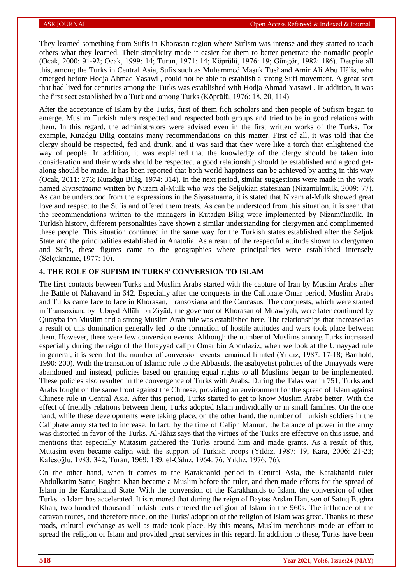They learned something from Sufis in Khorasan region where Sufism was intense and they started to teach others what they learned. Their simplicity made it easier for them to better penetrate the nomadic people (Ocak, 2000: 91-92; Ocak, 1999: 14; Turan, 1971: 14; Köprülü, 1976: 19; Güngör, 1982: 186). Despite all this, among the Turks in Central Asia, Sufis such as Muhammed Maşuk Tusî and Amir Ali Abu Hâlis, who emerged before Hodja Ahmad Yasawi , could not be able to establish a strong Sufi movement. A great sect that had lived for centuries among the Turks was established with Hodja Ahmad Yasawi . In addition, it was the first sect established by a Turk and among Turks (Köprülü, 1976: 18, 20, 114).

After the acceptance of Islam by the Turks, first of them fiqh scholars and then people of Sufism began to emerge. Muslim Turkish rulers respected and respected both groups and tried to be in good relations with them. In this regard, the administrators were advised even in the first written works of the Turks. For example, Kutadgu Bilig contains many recommendations on this matter. First of all, it was told that the clergy should be respected, fed and drunk, and it was said that they were like a torch that enlightened the way of people. In addition, it was explained that the knowledge of the clergy should be taken into consideration and their words should be respected, a good relationship should be established and a good getalong should be made. It has been reported that both world happiness can be achieved by acting in this way (Ocak, 2011: 276; Kutadgu Bilig, 1974: 314). In the next period, similar suggestions were made in the work named *Siyasatnama* written by Nizam al-Mulk who was the Seljukian statesman (Nizamülmülk, 2009: 77). As can be understood from the expressions in the Siyasatnama, it is stated that Nizam al-Mulk showed great love and respect to the Sufis and offered them treats. As can be understood from this situation, it is seen that the recommendations written to the managers in Kutadgu Bilig were implemented by Nizamülmülk. In Turkish history, different personalities have shown a similar understanding for clergymen and complimented these people. This situation continued in the same way for the Turkish states established after the Seljuk State and the principalities established in Anatolia. As a result of the respectful attitude shown to clergymen and Sufis, these figures came to the geographies where principalities were established intensely (Selçukname, 1977: 10).

#### **4. THE ROLE OF SUFISM IN TURKS' CONVERSION TO ISLAM**

The first contacts between Turks and Muslim Arabs started with the capture of Iran by Muslim Arabs after the Battle of Nahavand in 642. Especially after the conquests in the Caliphate Omar period, Muslim Arabs and Turks came face to face in Khorasan, Transoxiana and the Caucasus. The conquests, which were started in Transoxiana by ʿUbayd Allāh ibn Ziyād, the governor of Khorasan of Muawiyah, were later continued by Qutayba ibn Muslim and a strong Muslim Arab rule was established here. The relationships that increased as a result of this domination generally led to the formation of hostile attitudes and wars took place between them. However, there were few conversion events. Although the number of Muslims among Turks increased especially during the reign of the Umayyad caliph Omar bin Abdulaziz, when we look at the Umayyad rule in general, it is seen that the number of conversion events remained limited (Yıldız, 1987: 17-18; Barthold, 1990: 200). With the transition of Islamic rule to the Abbasids, the asabiyetist policies of the Umayyads were abandoned and instead, policies based on granting equal rights to all Muslims began to be implemented. These policies also resulted in the convergence of Turks with Arabs. During the Talas war in 751, Turks and Arabs fought on the same front against the Chinese, providing an environment for the spread of Islam against Chinese rule in Central Asia. After this period, Turks started to get to know Muslim Arabs better. With the effect of friendly relations between them, Turks adopted Islam individually or in small families. On the one hand, while these developments were taking place, on the other hand, the number of Turkish soldiers in the Caliphate army started to increase. In fact, by the time of Caliph Mamun, the balance of power in the army was distorted in favor of the Turks. Al-Jâhız says that the virtues of the Turks are effective on this issue, and mentions that especially Mutasim gathered the Turks around him and made grants. As a result of this, Mutasim even became caliph with the support of Turkish troops (Yıldız, 1987: 19; Kara, 2006: 21-23; Kafesoğlu, 1983: 342; Turan, 1969: 139; el-Câhız, 1964: 76; Yıldız, 1976: 76).

On the other hand, when it comes to the Karakhanid period in Central Asia, the Karakhanid ruler Abdulkarim Satuq Bughra Khan became a Muslim before the ruler, and then made efforts for the spread of Islam in the Karakhanid State. With the conversion of the Karakhanids to Islam, the conversion of other Turks to Islam has accelerated. It is rumored that during the reign of Baytaş Arslan Han, son of Satuq Bughra Khan, two hundred thousand Turkish tents entered the religion of Islam in the 960s. The influence of the caravan routes, and therefore trade, on the Turks' adoption of the religion of Islam was great. Thanks to these roads, cultural exchange as well as trade took place. By this means, Muslim merchants made an effort to spread the religion of Islam and provided great services in this regard. In addition to these, Turks have been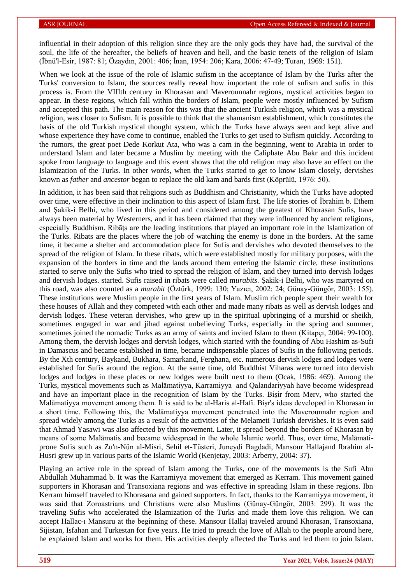influential in their adoption of this religion since they are the only gods they have had, the survival of the soul, the life of the hereafter, the beliefs of heaven and hell, and the basic tenets of the religion of Islam (İbnü'l-Esir, 1987: 81; Özaydın, 2001: 406; İnan, 1954: 206; Kara, 2006: 47-49; Turan, 1969: 151).

When we look at the issue of the role of Islamic sufism in the acceptance of Islam by the Turks after the Turks' conversion to Islam, the sources really reveal how important the role of sufism and sufis in this process is. From the VIIIth century in Khorasan and Maverounnahr regions, mystical activities began to appear. In these regions, which fall within the borders of Islam, people were mostly influenced by Sufism and accepted this path. The main reason for this was that the ancient Turkish religion, which was a mystical religion, was closer to Sufism. It is possible to think that the shamanism establishment, which constitutes the basis of the old Turkish mystical thought system, which the Turks have always seen and kept alive and whose experience they have come to continue, enabled the Turks to get used to Sufism quickly. According to the rumors, the great poet Dede Korkut Ata, who was a cam in the beginning, went to Arabia in order to understand Islam and later became a Muslim by meeting with the Caliphate Abu Bakr and this incident spoke from language to language and this event shows that the old religion may also have an effect on the Islamization of the Turks. In other words, when the Turks started to get to know Islam closely, dervishes known as *father* and *ancestor* began to replace the old kam and bards first (Köprülü, 1976: 50).

In addition, it has been said that religions such as Buddhism and Christianity, which the Turks have adopted over time, were effective in their inclination to this aspect of Islam first. The life stories of İbrahim b. Ethem and Şakik-i Belhi, who lived in this period and considered among the greatest of Khorasan Sufis, have always been material by Westerners, and it has been claimed that they were influenced by ancient religions, especially Buddhism. Ribāts are the leading institutions that played an important role in the Islamization of the Turks. Ribats are the places where the job of watching the enemy is done in the borders. At the same time, it became a shelter and accommodation place for Sufis and dervishes who devoted themselves to the spread of the religion of Islam. In these ribats, which were established mostly for military purposes, with the expansion of the borders in time and the lands around them entering the Islamic circle, these institutions started to serve only the Sufis who tried to spread the religion of Islam, and they turned into dervish lodges and dervish lodges. started. Sufis raised in ribats were called m*urabits*. Şakik-i Belhi, who was martyred on this road, was also counted as a *murabit* (Öztürk, 1999: 130; Yazıcı, 2002: 24; Günay-Güngör, 2003: 155). These institutions were Muslim people in the first years of Islam. Muslim rich people spent their wealth for these houses of Allah and they competed with each other and made many ribats as well as dervish lodges and dervish lodges. These veteran dervishes, who grew up in the spiritual upbringing of a murshid or sheikh, sometimes engaged in war and jihad against unbelieving Turks, especially in the spring and summer, sometimes joined the nomadic Turks as an army of saints and invited Islam to them (Kitapçı, 2004: 99-100). Among them, the dervish lodges and dervish lodges, which started with the founding of Abu Hashim as-Sufi in Damascus and became established in time, became indispensable places of Sufis in the following periods. By the Xth century, Baykand, Bukhara, Samarkand, Ferghana, etc. numerous dervish lodges and lodges were established for Sufis around the region. At the same time, old Buddhist Viharas were turned into dervish lodges and lodges in these places or new lodges were built next to them (Ocak, 1986: 469). Among the Turks, mystical movements such as Malāmatiyya, Karramiyya and Qalandariyyah have become widespread and have an important place in the recognition of Islam by the Turks. Bişir from Merv, who started the Malāmatiyya movement among them. It is said to be al-Haris al-Hafi. Bişr's ideas developed in Khorasan in a short time. Following this, the Malāmatiyya movement penetrated into the Maverounnahr region and spread widely among the Turks as a result of the activities of the Melameti Turkish dervishes. It is even said that Ahmad Yasawi was also affected by this movement. Later, it spread beyond the borders of Khorasan by means of some Malāmatis and became widespread in the whole Islamic world. Thus, over time, Malāmatiprone Sufis such as Zu'n-Nün al-Misri, Sehil et-Tüsteri, Juneydi Bagdadi, Mansour Hallajand Ibrahim al-Husri grew up in various parts of the Islamic World (Kenjetay, 2003: Arberry, 2004: 37).

Playing an active role in the spread of Islam among the Turks, one of the movements is the Sufi Abu Abdullah Muhammad b. It was the Karramiyya movement that emerged as Kerram. This movement gained supporters in Khorasan and Transoxiana regions and was effective in spreading Islam in these regions. Ibn Kerram himself traveled to Khorasana and gained supporters. In fact, thanks to the Karramiyya movement, it was said that Zoroastrians and Christians were also Muslims (Günay-Güngör, 2003: 299). It was the traveling Sufis who accelerated the Islamization of the Turks and made them love this religion. We can accept Hallac-ı Mansuru at the beginning of these. Mansour Hallaj traveled around Khorasan, Transoxiana, Sijistan, Isfahan and Turkestan for five years. He tried to preach the love of Allah to the people around here, he explained Islam and works for them. His activities deeply affected the Turks and led them to join Islam.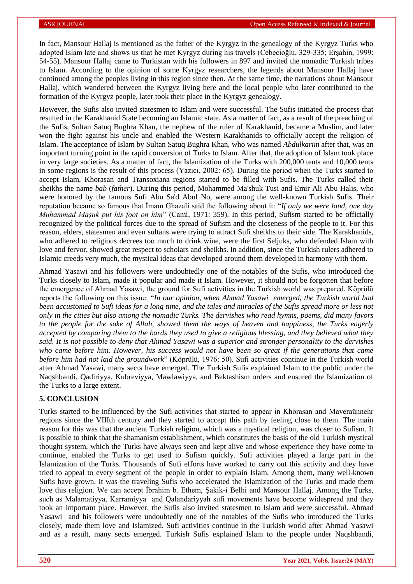In fact, Mansour Hallaj is mentioned as the father of the Kyrgyz in the genealogy of the Kyrgyz Turks who adopted Islam late and shows us that he met Kyrgyz during his travels (Cebecioğlu, 329-335; Erşahin, 1999: 54-55). Mansour Hallaj came to Turkistan with his followers in 897 and invited the nomadic Turkish tribes to Islam. According to the opinion of some Kyrgyz researchers, the legends about Mansour Hallaj have continued among the peoples living in this region since then. At the same time, the narrations about Mansour Hallaj, which wandered between the Kyrgyz living here and the local people who later contributed to the formation of the Kyrgyz people, later took their place in the Kyrgyz genealogy.

However, the Sufis also invited statesmen to Islam and were successful. The Sufis initiated the process that resulted in the Karakhanid State becoming an Islamic state. As a matter of fact, as a result of the preaching of the Sufis, Sultan Satuq Bughra Khan, the nephew of the ruler of Karakhanid, became a Muslim, and later won the fight against his uncle and enabled the Western Karakhanids to officially accept the religion of Islam. The acceptance of Islam by Sultan Satuq Bughra Khan, who was named *Abdulkarim* after that, was an important turning point in the rapid conversion of Turks to Islam. After that, the adoption of Islam took place in very large societies. As a matter of fact, the Islamization of the Turks with 200,000 tents and 10,000 tents in some regions is the result of this process (Yazıcı, 2002: 65). During the period when the Turks started to accept Islam, Khorasan and Transoxiana regions started to be filled with Sufis. The Turks called their sheikhs the name *bab* (*father*). During this period, Mohammed Ma'shuk Tusi and Emir Ali Abu Halis, who were honored by the famous Sufi Abu Sa'd Abul No, were among the well-known Turkish Sufis. Their reputation became so famous that İmam Ghazali said the following about it: "*If only we were land, one day Muhammad Maşuk put his foot on him*" (Cami, 1971: 359). In this period, Sufism started to be officially recognized by the political forces due to the spread of Sufism and the closeness of the people to it. For this reason, elders, statesmen and even sultans were trying to attract Sufi sheikhs to their side. The Karakhanids, who adhered to religious decrees too much to drink wine, were the first Seljuks, who defended Islam with love and fervor, showed great respect to scholars and sheikhs. In addition, since the Turkish rulers adhered to Islamic creeds very much, the mystical ideas that developed around them developed in harmony with them.

Ahmad Yasawi and his followers were undoubtedly one of the notables of the Sufis, who introduced the Turks closely to Islam, made it popular and made it Islam. However, it should not be forgotten that before the emergence of Ahmad Yasawi, the ground for Sufi activities in the Turkish world was prepared. Köprülü reports the following on this issue: "*In our opinion, when Ahmad Yasawi emerged, the Turkish world had been accustomed to Sufi ideas for a long time, and the tales and miracles of the Sufis spread more or less not only in the cities but also among the nomadic Turks. The dervishes who read hymns, poems, did many favors to the people for the sake of Allah, showed them the ways of heaven and happiness, the Turks eagerly accepted by comparing them to the bards they used to give a religious blessing, and they believed what they said. It is not possible to deny that Ahmad Yasawi was a superior and stronger personality to the dervishes*  who came before him. However, his success would not have been so great if the generations that came *before him had not laid the groundwork*" (Köprülü, 1976: 50). Sufi activities continue in the Turkish world after Ahmad Yasawi, many sects have emerged. The Turkish Sufis explained Islam to the public under the Naqshbandi, Qadiriyya, Kubreviyya, Mawlawiyya, and Bektashism orders and ensured the Islamization of the Turks to a large extent.

#### **5. CONCLUSION**

Turks started to be influenced by the Sufi activities that started to appear in Khorasan and Maveraünnehr regions since the VIIIth century and they started to accept this path by feeling close to them. The main reason for this was that the ancient Turkish religion, which was a mystical religion, was closer to Sufism. It is possible to think that the shamanism establishment, which constitutes the basis of the old Turkish mystical thought system, which the Turks have always seen and kept alive and whose experience they have come to continue, enabled the Turks to get used to Sufism quickly. Sufi activities played a large part in the Islamization of the Turks. Thousands of Sufi efforts have worked to carry out this activity and they have tried to appeal to every segment of the people in order to explain Islam. Among them, many well-known Sufis have grown. It was the traveling Sufis who accelerated the Islamization of the Turks and made them love this religion. We can accept İbrahim b. Ethem, Şakik-i Belhi and Mansour Hallaj. Among the Turks, such as Malāmatiyya, Karramiyya and Qalandariyyah sufi movements have become widespread and they took an important place. However, the Sufis also invited statesmen to Islam and were successful. Ahmad Yasawi and his followers were undoubtedly one of the notables of the Sufis who introduced the Turks closely, made them love and Islamized. Sufi activities continue in the Turkish world after Ahmad Yasawi and as a result, many sects emerged. Turkish Sufis explained Islam to the people under Naqshbandi,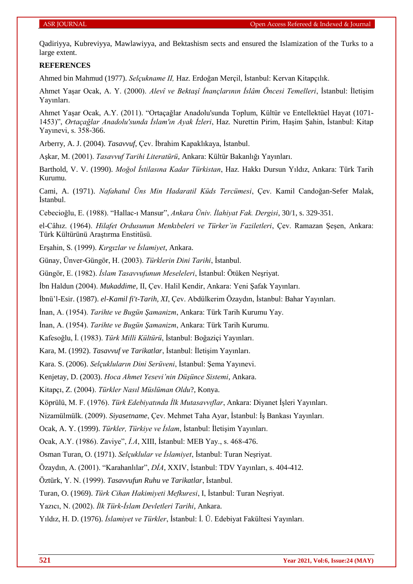Qadiriyya, Kubreviyya, Mawlawiyya, and Bektashism sects and ensured the Islamization of the Turks to a large extent.

# **REFERENCES**

Ahmed bin Mahmud (1977). *Selçukname II,* Haz. Erdoğan Merçil, İstanbul: Kervan Kitapçılık.

Ahmet Yaşar Ocak, A. Y. (2000). *Alevî ve Bektaşî İnançlarının İslâm Öncesi Temelleri*, İstanbul: İletişim Yayınları.

Ahmet Yaşar Ocak, A.Y. (2011). "Ortaçağlar Anadolu'sunda Toplum, Kültür ve Entellektüel Hayat (1071- 1453)", *Ortaçağlar Anadolu'sunda İslam'ın Ayak İzleri*, Haz. Nurettin Pirim, Haşim Şahin, İstanbul: Kitap Yayınevi, s. 358-366.

Arberry, A. J. (2004). *Tasavvuf,* Çev. İbrahim Kapaklıkaya, İstanbul.

Aşkar, M. (2001). *Tasavvuf Tarihi Literatürü*, Ankara: Kültür Bakanlığı Yayınları.

Barthold, V. V. (1990). *Moğol İstilasına Kadar Türkistan*, Haz. Hakkı Dursun Yıldız, Ankara: Türk Tarih Kurumu.

Cami, A. (1971). *Nafahatul Üns Min Hadaratil Küds Tercümesi*, Çev. Kamil Candoğan-Sefer Malak, İstanbul.

Cebecioğlu, E. (1988). "Hallac-ı Mansur", *Ankara Üniv. İlahiyat Fak. Dergisi*, 30/1, s. 329-351.

el-Câhız. (1964). *Hilafet Ordusunun Menkıbeleri ve Türker'in Faziletleri*, Çev. Ramazan Şeşen, Ankara: Türk Kültürünü Araştırma Enstitüsü.

Erşahin, S. (1999). *Kırgızlar ve İslamiyet*, Ankara.

Günay, Ünver-Güngör, H. (2003). *Türklerin Dini Tarihi*, İstanbul.

Güngör, E. (1982). *İslam Tasavvufunun Meseleleri*, İstanbul: Ötüken Neşriyat.

İbn Haldun (2004). *Mukaddime,* II, Çev. Halil Kendir, Ankara: Yeni Şafak Yayınları.

İbnü'l-Esir. (1987). *el-Kamil fi't-Tarih, XI*, Çev. Abdülkerim Özaydın, İstanbul: Bahar Yayınları.

İnan, A. (1954). *Tarihte ve Bugün Şamanizm*, Ankara: Türk Tarih Kurumu Yay.

İnan, A. (1954). *Tarihte ve Bugün Şamanizm*, Ankara: Türk Tarih Kurumu.

Kafesoğlu, İ. (1983). *Türk Milli Kültürü*, İstanbul: Boğaziçi Yayınları.

Kara, M. (1992). *Tasavvuf ve Tarikatlar*, İstanbul: İletişim Yayınları.

Kara. S. (2006). *Selçukluların Dini Serüveni*, İstanbul: Şema Yayınevi.

Kenjetay, D. (2003). *Hoca Ahmet Yesevi'nin Düşünce Sistemi*, Ankara.

Kitapçı, Z. (2004). *Türkler Nasıl Müslüman Oldu*?, Konya.

Köprülü, M. F. (1976). *Türk Edebiyatında İlk Mutasavvıflar*, Ankara: Diyanet İşleri Yayınları.

Nizamülmülk. (2009). *Siyasetname*, Çev. Mehmet Taha Ayar, İstanbul: İş Bankası Yayınları.

Ocak, A. Y. (1999). *Türkler, Türkiye ve İslam*, İstanbul: İletişim Yayınları.

Ocak, A.Y. (1986). Zaviye", *İ.A*, XIII, İstanbul: MEB Yay., s. 468-476.

Osman Turan, O. (1971). *Selçuklular ve İslamiyet*, İstanbul: Turan Neşriyat.

Özaydın, A. (2001). "Karahanlılar", *DİA*, XXIV, İstanbul: TDV Yayınları, s. 404-412.

Öztürk, Y. N. (1999). *Tasavvufun Ruhu ve Tarikatlar*, İstanbul.

Turan, O. (1969). *Türk Cihan Hakimiyeti Mefkuresi*, I, İstanbul: Turan Neşriyat.

Yazıcı, N. (2002). *İlk Türk-İslam Devletleri Tarihi*, Ankara.

Yıldız, H. D. (1976). *İslamiyet ve Türkler*, İstanbul: İ. Ü. Edebiyat Fakültesi Yayınları.